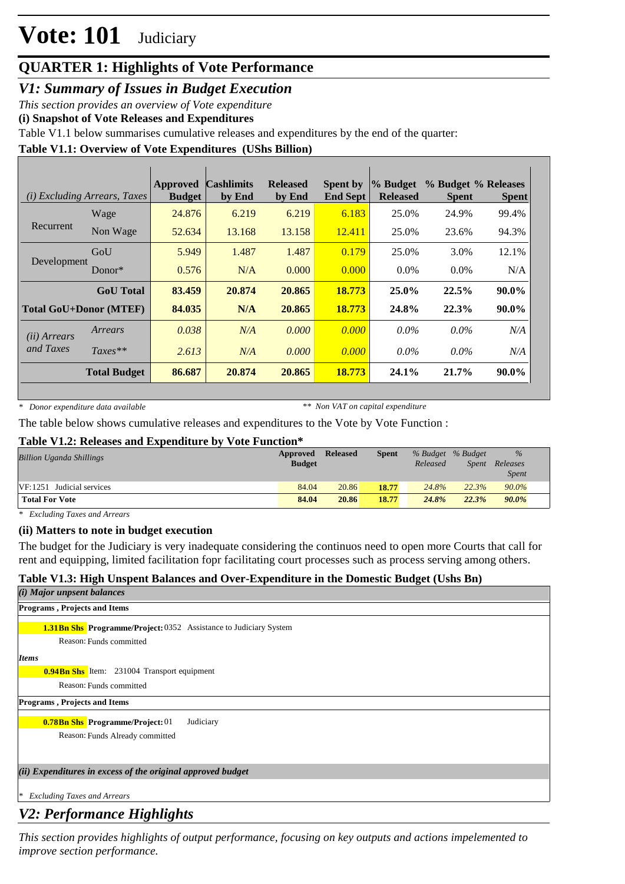## **QUARTER 1: Highlights of Vote Performance**

*V1: Summary of Issues in Budget Execution*

*This section provides an overview of Vote expenditure* 

**(i) Snapshot of Vote Releases and Expenditures**

Table V1.1 below summarises cumulative releases and expenditures by the end of the quarter:

### **Table V1.1: Overview of Vote Expenditures (UShs Billion)**

|                               | ( <i>i</i> ) Excluding Arrears, Taxes | <b>Approved</b><br><b>Budget</b> | <b>Cashlimits</b><br>by End | <b>Released</b><br>by End | <b>Spent by</b><br><b>End Sept</b> | % Budget <br><b>Released</b> | % Budget % Releases<br><b>Spent</b> | <b>Spent</b> |
|-------------------------------|---------------------------------------|----------------------------------|-----------------------------|---------------------------|------------------------------------|------------------------------|-------------------------------------|--------------|
|                               | Wage                                  | 24.876                           | 6.219                       | 6.219                     | 6.183                              | 25.0%                        | 24.9%                               | 99.4%        |
| Recurrent                     | Non Wage                              | 52.634                           | 13.168                      | 13.158                    | 12.411                             | 25.0%                        | 23.6%                               | 94.3%        |
|                               | GoU                                   | 5.949                            | 1.487                       | 1.487                     | 0.179                              | 25.0%                        | 3.0%                                | 12.1%        |
| Development                   | Donor $*$                             | 0.576                            | N/A                         | 0.000                     | 0.000                              | $0.0\%$                      | $0.0\%$                             | N/A          |
|                               | <b>GoU</b> Total                      | 83.459                           | 20.874                      | 20.865                    | 18.773                             | $25.0\%$                     | 22.5%                               | 90.0%        |
| <b>Total GoU+Donor (MTEF)</b> |                                       | 84.035                           | N/A                         | 20.865                    | 18.773                             | 24.8%                        | 22.3%                               | 90.0%        |
| ( <i>ii</i> ) Arrears         | Arrears                               | 0.038                            | N/A                         | 0.000                     | 0.000                              | $0.0\%$                      | $0.0\%$                             | N/A          |
| and Taxes                     | $Taxes**$                             | 2.613                            | N/A                         | 0.000                     | 0.000                              | $0.0\%$                      | $0.0\%$                             | N/A          |
|                               | <b>Total Budget</b>                   | 86.687                           | 20.874                      | 20.865                    | 18.773                             | 24.1%                        | 21.7%                               | 90.0%        |

*\* Donor expenditure data available*

*\*\* Non VAT on capital expenditure*

The table below shows cumulative releases and expenditures to the Vote by Vote Function :

#### **Table V1.2: Releases and Expenditure by Vote Function\***

| <b>Billion Uganda Shillings</b> | Approved<br><b>Budget</b> | <b>Released</b> | <b>Spent</b> | % Budget % Budget<br>Released | <i>Spent</i> | $\%$<br>Releases<br><i>Spent</i> |  |
|---------------------------------|---------------------------|-----------------|--------------|-------------------------------|--------------|----------------------------------|--|
| $VF: 1251$ Judicial services    | 84.04                     | 20.86           | 18.77        | 24.8%                         | 22.3%        | 90.0%                            |  |
| <b>Total For Vote</b>           | 84.04                     | 20.86           | 18.77        | 24.8%                         | 22.3%        | $90.0\%$                         |  |

*\* Excluding Taxes and Arrears*

#### **(ii) Matters to note in budget execution**

The budget for the Judiciary is very inadequate considering the continuos need to open more Courts that call for rent and equipping, limited facilitation fopr facilitating court processes such as process serving among others.

#### **Table V1.3: High Unspent Balances and Over-Expenditure in the Domestic Budget (Ushs Bn)**

| ( <i>i</i> ) Major unpsent balances                                      |
|--------------------------------------------------------------------------|
| <b>Programs, Projects and Items</b>                                      |
| <b>1.31Bn Shs Programme/Project: 0352</b> Assistance to Judiciary System |
| Reason: Funds committed                                                  |
| <b>Items</b>                                                             |
| <b>0.94Bn Shs</b> Item: 231004 Transport equipment                       |
| Reason: Funds committed                                                  |
| <b>Programs, Projects and Items</b>                                      |
| <b>0.78Bn Shs Programme/Project: 01</b><br>Judiciary                     |
| Reason: Funds Already committed                                          |
|                                                                          |
| (ii) Expenditures in excess of the original approved budget              |
|                                                                          |
| <b>Excluding Taxes and Arrears</b><br>∣∗                                 |

## *V2: Performance Highlights*

*This section provides highlights of output performance, focusing on key outputs and actions impelemented to improve section performance.*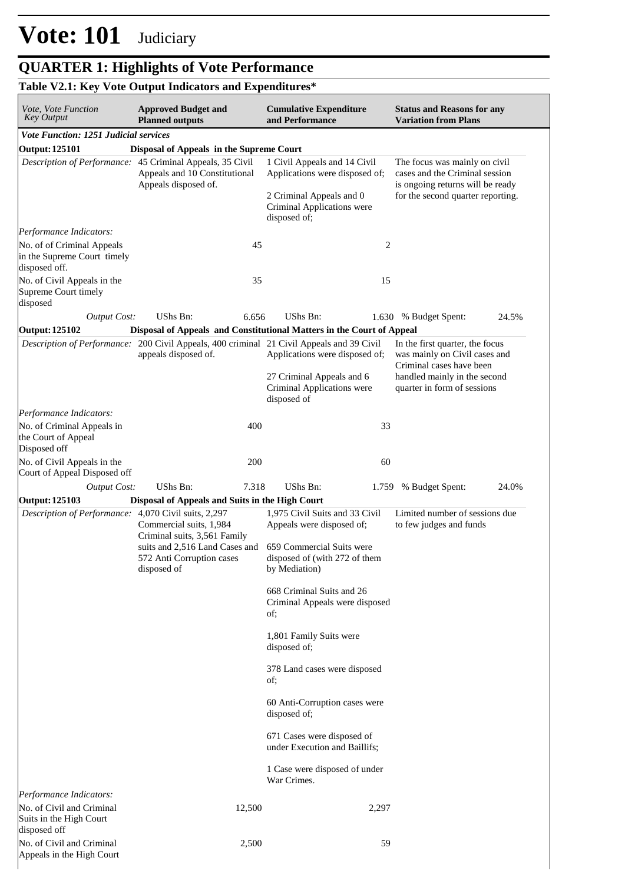Appeals in the High Court

#### **QUARTER 1: Highlights of Vote Performance** *improve section performance. This section provides highlights of output performance, focusing on key outputs and actions impelemented to*

#### **Table V2.1: Key Vote Output Indicators and Expenditures\* Cumulative Expenditure and Performance Approved Budget and Planned outputs Status and Reasons for any Variation from Plans** *Vote, Vote Function Key Output Vote Function: 1251 Judicial services* **Output: 125101 Disposal of Appeals in the Supreme Court** *Description of Performance:* 45 Criminal Appeals, 35 Civil Appeals and 10 Constitutional Appeals disposed of. 1 Civil Appeals and 14 Civil Applications were disposed of; 2 Criminal Appeals and 0 Criminal Applications were disposed of; The focus was mainly on civil cases and the Criminal session is ongoing returns will be ready for the second quarter reporting. *Output Cost:* UShs Bn: 6.656 UShs Bn: 1.630 % Budget Spent: 24.5% *Performance Indicators:* No. of of Criminal Appeals in the Supreme Court timely disposed off. 45 2 No. of Civil Appeals in the Supreme Court timely disposed 35 15 **Output: 125102 Disposal of Appeals and Constitutional Matters in the Court of Appeal** *Description of Performance:* 200 Civil Appeals, 400 criminal 21 Civil Appeals and 39 Civil appeals disposed of. Applications were disposed of; 27 Criminal Appeals and 6 Criminal Applications were disposed of In the first quarter, the focus was mainly on Civil cases and Criminal cases have been handled mainly in the second quarter in form of sessions *Output Cost:* UShs Bn: 7.318 UShs Bn: 1.759 % Budget Spent: 24.0% *Performance Indicators:* No. of Criminal Appeals in the Court of Appeal Disposed off 400 33 No. of Civil Appeals in the Court of Appeal Disposed off 200 60 **Output: 125103 Disposal of Appeals and Suits in the High Court** *Description of Performance:* 4,070 Civil suits, 2,297 Commercial suits, 1,984 Criminal suits, 3,561 Family suits and 2,516 Land Cases and 572 Anti Corruption cases disposed of 1,975 Civil Suits and 33 Civil Appeals were disposed of; 659 Commercial Suits were disposed of (with 272 of them by Mediation) 668 Criminal Suits and 26 Criminal Appeals were disposed of; 1,801 Family Suits were disposed of; 378 Land cases were disposed of; 60 Anti-Corruption cases were disposed of; 671 Cases were disposed of under Execution and Baillifs; 1 Case were disposed of under War Crimes. Limited number of sessions due to few judges and funds *Performance Indicators:* No. of Civil and Criminal Suits in the High Court disposed off 12,500 2,297 No. of Civil and Criminal 2,500 59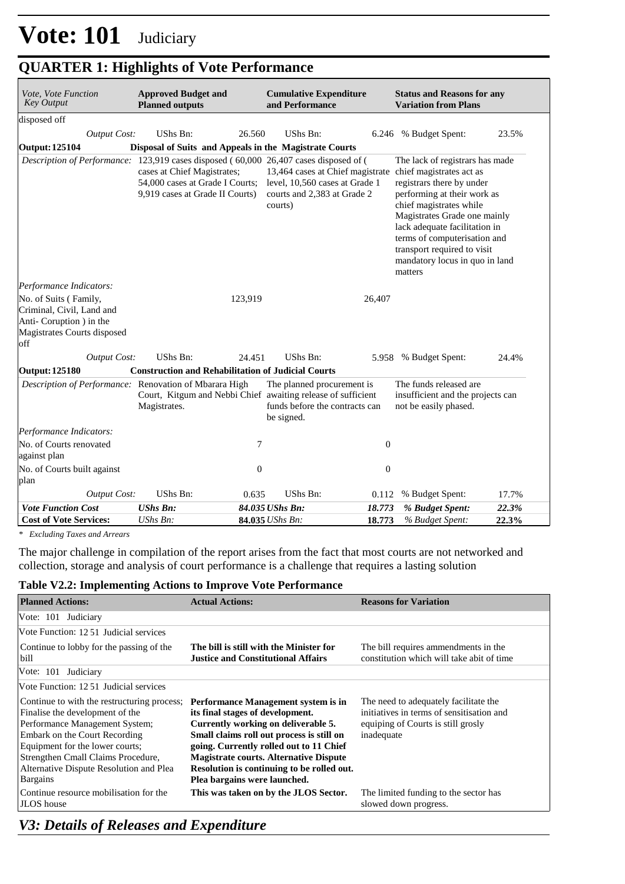## **QUARTER 1: Highlights of Vote Performance**

| Vote, Vote Function<br><b>Key Output</b>                                                                            | <b>Approved Budget and</b><br><b>Planned outputs</b>                                              |              | <b>Cumulative Expenditure</b><br>and Performance                                                                                           |                  | <b>Status and Reasons for any</b><br><b>Variation from Plans</b>                                                                                                                                                                                                                                                                |       |
|---------------------------------------------------------------------------------------------------------------------|---------------------------------------------------------------------------------------------------|--------------|--------------------------------------------------------------------------------------------------------------------------------------------|------------------|---------------------------------------------------------------------------------------------------------------------------------------------------------------------------------------------------------------------------------------------------------------------------------------------------------------------------------|-------|
| disposed off                                                                                                        |                                                                                                   |              |                                                                                                                                            |                  |                                                                                                                                                                                                                                                                                                                                 |       |
| <b>Output Cost:</b>                                                                                                 | <b>UShs Bn:</b>                                                                                   | 26.560       | UShs Bn:                                                                                                                                   |                  | 6.246 % Budget Spent:                                                                                                                                                                                                                                                                                                           | 23.5% |
| <b>Output: 125104</b>                                                                                               | Disposal of Suits and Appeals in the Magistrate Courts                                            |              |                                                                                                                                            |                  |                                                                                                                                                                                                                                                                                                                                 |       |
| Description of Performance: 123,919 cases disposed (60,000 26,407 cases disposed of (                               | cases at Chief Magistrates;<br>54,000 cases at Grade I Courts;<br>9,919 cases at Grade II Courts) |              | 13,464 cases at Chief magistrate<br>level, 10,560 cases at Grade 1<br>courts and 2,383 at Grade 2<br>courts)                               |                  | The lack of registrars has made<br>chief magistrates act as<br>registrars there by under<br>performing at their work as<br>chief magistrates while<br>Magistrates Grade one mainly<br>lack adequate facilitation in<br>terms of computerisation and<br>transport required to visit<br>mandatory locus in quo in land<br>matters |       |
| Performance Indicators:                                                                                             |                                                                                                   |              |                                                                                                                                            |                  |                                                                                                                                                                                                                                                                                                                                 |       |
| No. of Suits (Family,<br>Criminal, Civil, Land and<br>Anti-Coruption ) in the<br>Magistrates Courts disposed<br>off |                                                                                                   | 123,919      |                                                                                                                                            | 26,407           |                                                                                                                                                                                                                                                                                                                                 |       |
| <b>Output Cost:</b>                                                                                                 | <b>UShs Bn:</b>                                                                                   | 24.451       | UShs Bn:                                                                                                                                   |                  | 5.958 % Budget Spent:                                                                                                                                                                                                                                                                                                           | 24.4% |
| <b>Output: 125180</b>                                                                                               | <b>Construction and Rehabilitation of Judicial Courts</b>                                         |              |                                                                                                                                            |                  |                                                                                                                                                                                                                                                                                                                                 |       |
| Description of Performance: Renovation of Mbarara High                                                              | Magistrates.                                                                                      |              | The planned procurement is<br>Court, Kitgum and Nebbi Chief awaiting release of sufficient<br>funds before the contracts can<br>be signed. |                  | The funds released are<br>insufficient and the projects can<br>not be easily phased.                                                                                                                                                                                                                                            |       |
| Performance Indicators:                                                                                             |                                                                                                   |              |                                                                                                                                            |                  |                                                                                                                                                                                                                                                                                                                                 |       |
| No. of Courts renovated<br>against plan                                                                             |                                                                                                   | 7            |                                                                                                                                            | $\boldsymbol{0}$ |                                                                                                                                                                                                                                                                                                                                 |       |
| No. of Courts built against<br>plan                                                                                 |                                                                                                   | $\mathbf{0}$ |                                                                                                                                            | $\mathbf{0}$     |                                                                                                                                                                                                                                                                                                                                 |       |
| <b>Output Cost:</b>                                                                                                 | UShs Bn:                                                                                          | 0.635        | UShs Bn:                                                                                                                                   | 0.112            | % Budget Spent:                                                                                                                                                                                                                                                                                                                 | 17.7% |
| <b>Vote Function Cost</b>                                                                                           | <b>UShs Bn:</b>                                                                                   |              | 84.035 UShs Bn:                                                                                                                            | 18.773           | % Budget Spent:                                                                                                                                                                                                                                                                                                                 | 22.3% |
| <b>Cost of Vote Services:</b>                                                                                       | UShs Bn:                                                                                          |              | 84.035 UShs Bn:                                                                                                                            | 18.773           | % Budget Spent:                                                                                                                                                                                                                                                                                                                 | 22.3% |

*\* Excluding Taxes and Arrears*

The major challenge in compilation of the report arises from the fact that most courts are not networked and collection, storage and analysis of court performance is a challenge that requires a lasting solution

#### **Table V2.2: Implementing Actions to Improve Vote Performance**

| <b>Planned Actions:</b>                                                                                                                                                                                                                                                                  | <b>Actual Actions:</b>                                                                                                                                                                                                                                                                                                                | <b>Reasons for Variation</b>                                                                                                            |
|------------------------------------------------------------------------------------------------------------------------------------------------------------------------------------------------------------------------------------------------------------------------------------------|---------------------------------------------------------------------------------------------------------------------------------------------------------------------------------------------------------------------------------------------------------------------------------------------------------------------------------------|-----------------------------------------------------------------------------------------------------------------------------------------|
| Vote: 101 Judiciary                                                                                                                                                                                                                                                                      |                                                                                                                                                                                                                                                                                                                                       |                                                                                                                                         |
| Vote Function: 12.51 Judicial services                                                                                                                                                                                                                                                   |                                                                                                                                                                                                                                                                                                                                       |                                                                                                                                         |
| Continue to lobby for the passing of the<br>bill                                                                                                                                                                                                                                         | The bill is still with the Minister for<br><b>Justice and Constitutional Affairs</b>                                                                                                                                                                                                                                                  | The bill requires ammendments in the<br>constitution which will take abit of time                                                       |
| Vote: 101 Judiciary                                                                                                                                                                                                                                                                      |                                                                                                                                                                                                                                                                                                                                       |                                                                                                                                         |
| Vote Function: 1251 Judicial services                                                                                                                                                                                                                                                    |                                                                                                                                                                                                                                                                                                                                       |                                                                                                                                         |
| Continue to with the restructuring process;<br>Finalise the development of the<br>Performance Management System;<br>Embark on the Court Recording<br>Equipment for the lower courts;<br>Strengthen Cmall Claims Procedure,<br>Alternative Dispute Resolution and Plea<br><b>Bargains</b> | Performance Management system is in<br>its final stages of development.<br>Currently working on deliverable 5.<br>Small claims roll out process is still on<br>going. Currently rolled out to 11 Chief<br><b>Magistrate courts. Alternative Dispute</b><br>Resolution is continuing to be rolled out.<br>Plea bargains were launched. | The need to adequately facilitate the.<br>initiatives in terms of sensitisation and<br>equiping of Courts is still grosly<br>inadequate |
| Continue resource mobilisation for the<br>JLOS house                                                                                                                                                                                                                                     | This was taken on by the JLOS Sector.                                                                                                                                                                                                                                                                                                 | The limited funding to the sector has<br>slowed down progress.                                                                          |

### *V3: Details of Releases and Expenditure*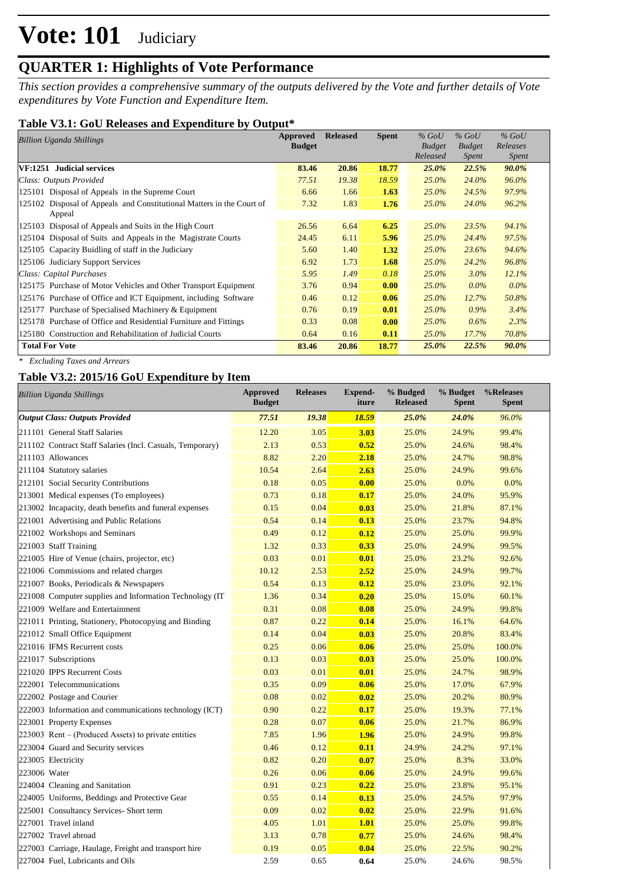## **QUARTER 1: Highlights of Vote Performance**

*This section provides a comprehensive summary of the outputs delivered by the Vote and further details of Vote expenditures by Vote Function and Expenditure Item.*

### **Table V3.1: GoU Releases and Expenditure by Output\***

| Billion Uganda Shillings                                                        | Approved      | <b>Released</b> | <b>Spent</b> | $%$ GoU       | $%$ GoU       | $%$ GoU      |  |
|---------------------------------------------------------------------------------|---------------|-----------------|--------------|---------------|---------------|--------------|--|
|                                                                                 | <b>Budget</b> |                 |              | <b>Budget</b> | <b>Budget</b> | Releases     |  |
|                                                                                 |               |                 |              | Released      | <i>Spent</i>  | <i>Spent</i> |  |
| VF:1251 Judicial services                                                       | 83.46         | 20.86           | 18.77        | $25.0\%$      | 22.5%         | $90.0\%$     |  |
| Class: Outputs Provided                                                         | 77.51         | 19.38           | 18.59        | $25.0\%$      | 24.0%         | 96.0%        |  |
| 125101 Disposal of Appeals in the Supreme Court                                 | 6.66          | 1.66            | 1.63         | 25.0%         | 24.5%         | 97.9%        |  |
| 125102 Disposal of Appeals and Constitutional Matters in the Court of<br>Appeal | 7.32          | 1.83            | 1.76         | 25.0%         | 24.0%         | 96.2%        |  |
| 125103 Disposal of Appeals and Suits in the High Court                          | 26.56         | 6.64            | 6.25         | 25.0%         | 23.5%         | 94.1%        |  |
| 125104 Disposal of Suits and Appeals in the Magistrate Courts                   | 24.45         | 6.11            | 5.96         | $25.0\%$      | 24.4%         | 97.5%        |  |
| 125105 Capacity Buidling of staff in the Judiciary                              | 5.60          | 1.40            | 1.32         | $25.0\%$      | 23.6%         | 94.6%        |  |
| 125106 Judiciary Support Services                                               | 6.92          | 1.73            | 1.68         | $25.0\%$      | 24.2%         | 96.8%        |  |
| Class: Capital Purchases                                                        | 5.95          | 1.49            | 0.18         | $25.0\%$      | $3.0\%$       | 12.1%        |  |
| 125175 Purchase of Motor Vehicles and Other Transport Equipment                 | 3.76          | 0.94            | 0.00         | $25.0\%$      | $0.0\%$       | $0.0\%$      |  |
| 125176 Purchase of Office and ICT Equipment, including Software                 | 0.46          | 0.12            | 0.06         | $25.0\%$      | 12.7%         | 50.8%        |  |
| 125177 Purchase of Specialised Machinery & Equipment                            | 0.76          | 0.19            | 0.01         | $25.0\%$      | $0.9\%$       | 3.4%         |  |
| 125178 Purchase of Office and Residential Furniture and Fittings                | 0.33          | 0.08            | 0.00         | $25.0\%$      | $0.6\%$       | 2.3%         |  |
| 125180 Construction and Rehabilitation of Judicial Courts                       | 0.64          | 0.16            | 0.11         | $25.0\%$      | 17.7%         | 70.8%        |  |
| <b>Total For Vote</b>                                                           | 83.46         | 20.86           | 18.77        | 25.0%         | 22.5%         | 90.0%        |  |

*\* Excluding Taxes and Arrears*

### **Table V3.2: 2015/16 GoU Expenditure by Item**

| <b>Billion Uganda Shillings</b>                           | Approved<br><b>Budget</b> | <b>Releases</b> | <b>Expend-</b><br>iture | % Budged<br><b>Released</b> | % Budget<br>Spent | %Releases<br><b>Spent</b> |
|-----------------------------------------------------------|---------------------------|-----------------|-------------------------|-----------------------------|-------------------|---------------------------|
| <b>Output Class: Outputs Provided</b>                     | 77.51                     | 19.38           | 18.59                   | 25.0%                       | 24.0%             | 96.0%                     |
| 211101 General Staff Salaries                             | 12.20                     | 3.05            | 3.03                    | 25.0%                       | 24.9%             | 99.4%                     |
| 211102 Contract Staff Salaries (Incl. Casuals, Temporary) | 2.13                      | 0.53            | 0.52                    | 25.0%                       | 24.6%             | 98.4%                     |
| 211103 Allowances                                         | 8.82                      | 2.20            | 2.18                    | 25.0%                       | 24.7%             | 98.8%                     |
| 211104 Statutory salaries                                 | 10.54                     | 2.64            | 2.63                    | 25.0%                       | 24.9%             | 99.6%                     |
| 212101 Social Security Contributions                      | 0.18                      | 0.05            | 0.00                    | 25.0%                       | 0.0%              | 0.0%                      |
| 213001 Medical expenses (To employees)                    | 0.73                      | 0.18            | 0.17                    | 25.0%                       | 24.0%             | 95.9%                     |
| 213002 Incapacity, death benefits and funeral expenses    | 0.15                      | 0.04            | 0.03                    | 25.0%                       | 21.8%             | 87.1%                     |
| 221001 Advertising and Public Relations                   | 0.54                      | 0.14            | 0.13                    | 25.0%                       | 23.7%             | 94.8%                     |
| 221002 Workshops and Seminars                             | 0.49                      | 0.12            | 0.12                    | 25.0%                       | 25.0%             | 99.9%                     |
| 221003 Staff Training                                     | 1.32                      | 0.33            | 0.33                    | 25.0%                       | 24.9%             | 99.5%                     |
| 221005 Hire of Venue (chairs, projector, etc)             | 0.03                      | 0.01            | 0.01                    | 25.0%                       | 23.2%             | 92.6%                     |
| 221006 Commissions and related charges                    | 10.12                     | 2.53            | 2.52                    | 25.0%                       | 24.9%             | 99.7%                     |
| 221007 Books, Periodicals & Newspapers                    | 0.54                      | 0.13            | 0.12                    | 25.0%                       | 23.0%             | 92.1%                     |
| 221008 Computer supplies and Information Technology (IT   | 1.36                      | 0.34            | 0.20                    | 25.0%                       | 15.0%             | 60.1%                     |
| 221009 Welfare and Entertainment                          | 0.31                      | 0.08            | 0.08                    | 25.0%                       | 24.9%             | 99.8%                     |
| 221011 Printing, Stationery, Photocopying and Binding     | 0.87                      | 0.22            | 0.14                    | 25.0%                       | 16.1%             | 64.6%                     |
| 221012 Small Office Equipment                             | 0.14                      | 0.04            | 0.03                    | 25.0%                       | 20.8%             | 83.4%                     |
| 221016 IFMS Recurrent costs                               | 0.25                      | 0.06            | 0.06                    | 25.0%                       | 25.0%             | 100.0%                    |
| 221017 Subscriptions                                      | 0.13                      | 0.03            | 0.03                    | 25.0%                       | 25.0%             | 100.0%                    |
| 221020 IPPS Recurrent Costs                               | 0.03                      | 0.01            | 0.01                    | 25.0%                       | 24.7%             | 98.9%                     |
| 222001 Telecommunications                                 | 0.35                      | 0.09            | 0.06                    | 25.0%                       | 17.0%             | 67.9%                     |
| 222002 Postage and Courier                                | 0.08                      | 0.02            | 0.02                    | 25.0%                       | 20.2%             | 80.9%                     |
| 222003 Information and communications technology (ICT)    | 0.90                      | 0.22            | 0.17                    | 25.0%                       | 19.3%             | 77.1%                     |
| 223001 Property Expenses                                  | 0.28                      | 0.07            | 0.06                    | 25.0%                       | 21.7%             | 86.9%                     |
| 223003 Rent – (Produced Assets) to private entities       | 7.85                      | 1.96            | 1.96                    | 25.0%                       | 24.9%             | 99.8%                     |
| 223004 Guard and Security services                        | 0.46                      | 0.12            | 0.11                    | 24.9%                       | 24.2%             | 97.1%                     |
| 223005 Electricity                                        | 0.82                      | 0.20            | 0.07                    | 25.0%                       | 8.3%              | 33.0%                     |
| 223006 Water                                              | 0.26                      | 0.06            | 0.06                    | 25.0%                       | 24.9%             | 99.6%                     |
| 224004 Cleaning and Sanitation                            | 0.91                      | 0.23            | 0.22                    | 25.0%                       | 23.8%             | 95.1%                     |
| 224005 Uniforms, Beddings and Protective Gear             | 0.55                      | 0.14            | 0.13                    | 25.0%                       | 24.5%             | 97.9%                     |
| 225001 Consultancy Services- Short term                   | 0.09                      | 0.02            | 0.02                    | 25.0%                       | 22.9%             | 91.6%                     |
| 227001 Travel inland                                      | 4.05                      | 1.01            | 1.01                    | 25.0%                       | 25.0%             | 99.8%                     |
| 227002 Travel abroad                                      | 3.13                      | 0.78            | 0.77                    | 25.0%                       | 24.6%             | 98.4%                     |
| 227003 Carriage, Haulage, Freight and transport hire      | 0.19                      | 0.05            | 0.04                    | 25.0%                       | 22.5%             | 90.2%                     |
| 227004 Fuel, Lubricants and Oils                          | 2.59                      | 0.65            | 0.64                    | 25.0%                       | 24.6%             | 98.5%                     |